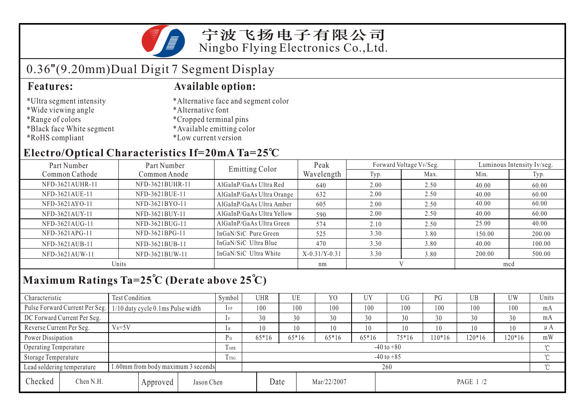

## 0.36"(9.20mm)Dual Digit 7 Segment Display

- \*Ultra segment intensity
- \*Wide viewing angle
- \*Range of colors
- \*Black face White segment
- \*RoHS compliant

#### **Features: Available option:**

- \*Alternative face and segment color
- \*Alternative font
- \*Cropped terminal pins
- \*Available emitting color
- \*Low current version

### **Electro/Optical Characteristics If=20mA Ta=25 C**

| Part Number<br>Part Number |                 | <b>Emitting Color</b>     | Peak            |      | Forward Voltage VF/Seg. | Luminous Intensity Iv/seg. |        |  |
|----------------------------|-----------------|---------------------------|-----------------|------|-------------------------|----------------------------|--------|--|
| Common Cathode             | Common Anode    |                           | Wavelength      | Typ. | Max.                    | Min.                       | Typ.   |  |
| NFD-3621AUHR-11            | NFD-3621BUHR-11 | AlGaInP/GaAs Ultra Red    | 640             | 2.00 | 2.50                    | 40.00                      | 60.00  |  |
| NFD-3621AUE-11             | NFD-3621BUE-11  | AlGaInP/GaAs Ultra Orange | 632             | 2.00 | 2.50                    | 40.00                      | 60.00  |  |
| NFD-3621AYO-11             | NFD-3621BYO-11  | AlGaInP/GaAs Ultra Amber  | 605             | 2.00 | 2.50                    | 40.00                      | 60.00  |  |
| NFD-3621AUY-11             | NFD-3621BUY-11  | AlGaInP/GaAs Ultra Yellow | 590             | 2.00 | 2.50                    | 40.00                      | 60.00  |  |
| NFD-3621AUG-11             | NFD-3621BUG-11  | AlGaInP/GaAs Ultra Green  | 574             | 2.10 | 2.50                    | 25.00                      | 40.00  |  |
| NFD-3621APG-11             | NFD-3621BPG-11  | InGaN/SiC Pure Green      | 525             | 3.30 | 3.80                    | 150.00                     | 200.00 |  |
| NFD-3621AUB-11             | NFD-3621BUB-11  | InGaN/SiC Ultra Blue      | 470             | 3.30 | 3.80                    | 40.00                      | 100.00 |  |
| NFD-3621AUW-11             | NFD-3621BUW-11  | InGaN/SiC Ultra White     | $X-0.31/Y-0.31$ | 3.30 | 3.80                    | 200.00                     | 500.00 |  |
| Units                      |                 |                           | nm              |      |                         | mcd                        |        |  |

## **Maximum Ratings Ta=25 C (Derate above 25 C)**

| Characteristic                                                   |                                     | <b>Test Condition</b>             |      |                | Symbol  | <b>UHR</b>     |             | UE      | Y <sub>0</sub> | <b>UY</b> | UG      | PG       | UB     | <b>UW</b> | Units   |
|------------------------------------------------------------------|-------------------------------------|-----------------------------------|------|----------------|---------|----------------|-------------|---------|----------------|-----------|---------|----------|--------|-----------|---------|
|                                                                  | Pulse Forward Current Per Seg.      | 1/10 duty cycle 0.1ms Pulse width |      |                | $1$ FP  | 100            |             | 100     | 100            | 100       | 100     | 100      | 100    | 100       | mA      |
|                                                                  | DC Forward Current Per Seg.         |                                   |      |                | 1F      | 30             |             | 30      | 30             | 30        | 30      | 30       | 30     | 30        | mA      |
| Reverse Current Per Seg.                                         |                                     | $V_R = 5V$                        |      |                | 1 R     | 10             |             | 10      | 10             | 10        | 10      | 10       | 10     | 10        | $\mu A$ |
| Power Dissipation                                                |                                     |                                   |      | P <sub>D</sub> | $65*16$ |                | $65*16$     | $65*16$ | $65*16$        | 75*16     | $10*16$ | $120*16$ | 120*16 | mW        |         |
| Operating Temperature                                            |                                     |                                   |      | <b>TOPR</b>    |         | $-40$ to $+80$ |             |         |                |           |         |          |        |           |         |
| Storage Temperature                                              |                                     |                                   | Trsg | $-40$ to $+85$ |         |                |             |         |                |           |         |          | $\sim$ |           |         |
| 1.60mm from body maximum 3 seconds<br>Lead soldering temperature |                                     |                                   |      |                | 260     |                |             |         |                |           |         |          |        | $\sim$    |         |
| Checked                                                          | Chen N.H.<br>Jason Chen<br>Approved |                                   |      | Date           |         |                | Mar/22/2007 |         | PAGE 1/2       |           |         |          |        |           |         |